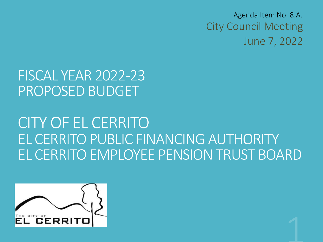City Council Meeting June 7, 2022 Agenda Item No. 8.A.

## FISCAL YEAR 2022-23 PROPOSED BUDGET

## CITY OF EL CERRITO EL CERRITO PUBLIC FINANCING AUTHORITY EL CERRITO EMPLOYEE PENSION TRUST BOARD

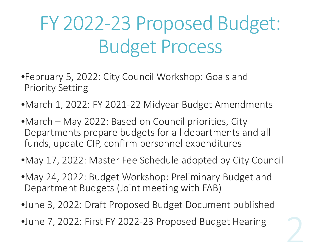# FY 2022-23 Proposed Budget: Budget Process

- •February 5, 2022: City Council Workshop: Goals and Priority Setting
- •March 1, 2022: FY 2021-22 Midyear Budget Amendments
- •March May 2022: Based on Council priorities, City Departments prepare budgets for all departments and all funds, update CIP, confirm personnel expenditures
- •May 17, 2022: Master Fee Schedule adopted by City Council
- •May 24, 2022: Budget Workshop: Preliminary Budget and Department Budgets (Joint meeting with FAB)
- •June 3, 2022: Draft Proposed Budget Document published
- •June 7, 2022: First FY 2022-23 Proposed Budget Hearing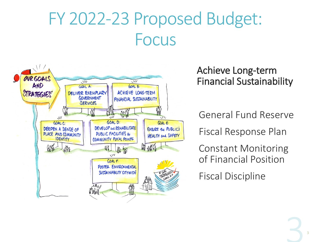## FY 2022-23 Proposed Budget: Focus



#### Achieve Long-term Financial Sustainability

General Fund Reserve

Fiscal Response Plan

Constant Monitoring of Financial Position

Fiscal Discipline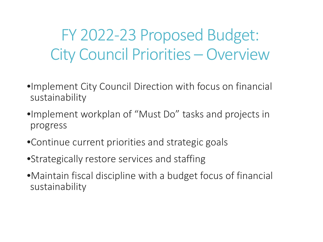FY 2022-23 Proposed Budget: City Council Priorities – Overview

- •Implement City Council Direction with focus on financial sustainability
- •Implement workplan of "Must Do" tasks and projects in progress
- •Continue current priorities and strategic goals
- •Strategically restore services and staffing
- •Maintain fiscal discipline with a budget focus of financial sustainability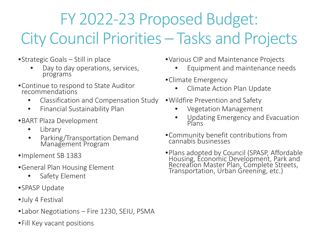## FY 2022-23 Proposed Budget: City Council Priorities - Tasks and Projects

- •Strategic Goals Still in place
	- Day to day operations, services, programs
- •Continue to respond to State Auditor recommendations
	- Classification and Compensation Study
	- Financial Sustainability Plan
- •BART Plaza Development
	- **Library**
	- Parking/Transportation Demand Management Program
- •Implement SB 1383
- •General Plan Housing Element
	- Safety Element
- •SPASP Update
- •July 4 Festival
- •Labor Negotiations Fire 1230, SEIU, PSMA
- •Fill Key vacant positions
- •Various CIP and Maintenance Projects
	- Equipment and maintenance needs
- •Climate Emergency
	- Climate Action Plan Update
- •Wildfire Prevention and Safety
	- Vegetation Management
	- Updating Emergency and Evacuation Plans
- •Community benefit contributions from cannabis businesses
- •Plans adopted by Council (SPASP, Affordable Housing, Economic Development, Park and Recreation Master Plan, Complete Streets, Transportation, Urban Greening, etc.)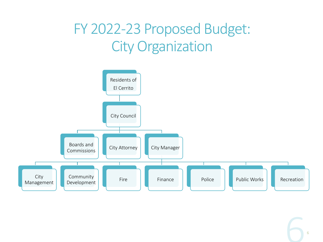## FY 2022-23 Proposed Budget: City Organization

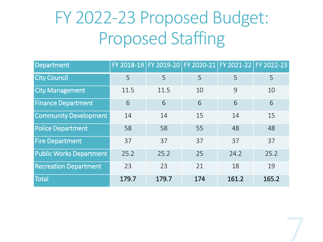# FY 2022-23 Proposed Budget: Proposed Staffing

| Department                     |       |       | FY 2018-19 FY 2019-20 FY 2020-21 FY 2021-22 FY 2022-23 |       |       |
|--------------------------------|-------|-------|--------------------------------------------------------|-------|-------|
| <b>City Council</b>            | 5     | 5     | 5                                                      | 5     | 5     |
| <b>City Management</b>         | 11.5  | 11.5  | 10                                                     | 9     | 10    |
| <b>Finance Department</b>      | 6     | 6     | 6                                                      | 6     | 6     |
| <b>Community Development</b>   | 14    | 14    | 15                                                     | 14    | 15    |
| <b>Police Department</b>       | 58    | 58    | 55                                                     | 48    | 48    |
| <b>Fire Department</b>         | 37    | 37    | 37                                                     | 37    | 37    |
| <b>Public Works Department</b> | 25.2  | 25.2  | 25                                                     | 24.2  | 25.2  |
| <b>Recreation Department</b>   | 23    | 23    | 21                                                     | 18    | 19    |
| Total                          | 179.7 | 179.7 | 174                                                    | 161.2 | 165.2 |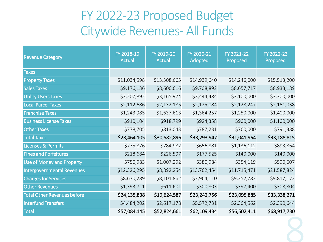### FY 2022-23 Proposed Budget Citywide Revenues- All Funds

| <b>Revenue Category</b>            | FY 2018-19<br><b>Actual</b> | FY 2019-20<br><b>Actual</b> | FY 2020-21<br>Adopted | FY 2021-22<br>Proposed | FY 2022-23<br>Proposed |
|------------------------------------|-----------------------------|-----------------------------|-----------------------|------------------------|------------------------|
| <b>Taxes</b>                       |                             |                             |                       |                        |                        |
| <b>Property Taxes</b>              | \$11,034,598                | \$13,308,665                | \$14,939,640          | \$14,246,000           | \$15,513,200           |
| <b>Sales Taxes</b>                 | \$9,176,136                 | \$8,606,616                 | \$9,708,892           | \$8,657,717            | \$8,933,189            |
| <b>Utility Users Taxes</b>         | \$3,207,892                 | \$3,165,974                 | \$3,444,484           | \$3,100,000            | \$3,300,000            |
| <b>Local Parcel Taxes</b>          | \$2,112,686                 | \$2,132,185                 | \$2,125,084           | \$2,128,247            | \$2,151,038            |
| <b>Franchise Taxes</b>             | \$1,243,985                 | \$1,637,613                 | \$1,364,257           | \$1,250,000            | \$1,400,000            |
| <b>Business License Taxes</b>      | \$910,104                   | \$918,799                   | \$924,358             | \$900,000              | \$1,100,000            |
| <b>Other Taxes</b>                 | \$778,705                   | \$813,043                   | \$787,231             | \$760,000              | \$791,388              |
| <b>Total Taxes</b>                 | \$28,464,105                | \$30,582,896                | \$33,293,947          | \$31,041,964           | \$33,188,815           |
| <b>Licenses &amp; Permits</b>      | \$775,876                   | \$784,982                   | \$656,881             | \$1,136,112            | \$893,864              |
| <b>Fines and Forfeitures</b>       | \$218,684                   | \$226,597                   | \$177,525             | \$140,000              | \$140,000              |
| <b>Use of Money and Property</b>   | \$750,983                   | \$1,007,292                 | \$380,984             | \$354,119              | \$590,607              |
| <b>Intergovernmental Revenues</b>  | \$12,326,295                | \$8,892,254                 | \$13,762,454          | \$11,715,471           | \$21,587,824           |
| <b>Charges for Services</b>        | \$8,670,289                 | \$8,101,862                 | \$7,964,110           | \$9,352,783            | \$9,817,172            |
| <b>Other Revenues</b>              | \$1,393,711                 | \$611,601                   | \$300,803             | \$397,400              | \$308,804              |
| <b>Total Other Revenues before</b> | \$24,135,838                | \$19,624,587                | \$23,242,756          | \$23,095,885           | \$33,338,271           |
| <b>Interfund Transfers</b>         | \$4,484,202                 | \$2,617,178                 | \$5,572,731           | \$2,364,562            | \$2,390,644            |
| <b>Total</b>                       | \$57,084,145                | \$52,824,661                | \$62,109,434          | \$56,502,411           | \$68,917,730           |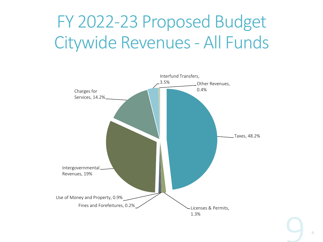# FY 2022-23 Proposed Budget Citywide Revenues - All Funds

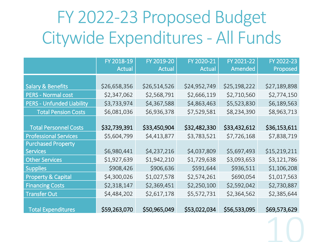# FY 2022-23 Proposed Budget Citywide Expenditures - All Funds

|                                  | FY 2018-19   | FY 2019-20   | FY 2020-21    | FY 2021-22   | FY 2022-23   |
|----------------------------------|--------------|--------------|---------------|--------------|--------------|
|                                  | Actual       | Actual       | <b>Actual</b> | Amended      | Proposed     |
|                                  |              |              |               |              |              |
| <b>Salary &amp; Benefits</b>     | \$26,658,356 | \$26,514,526 | \$24,952,749  | \$25,198,222 | \$27,189,898 |
| <b>PERS - Normal cost</b>        | \$2,347,062  | \$2,568,791  | \$2,666,119   | \$2,710,560  | \$2,774,150  |
| <b>PERS - Unfunded Liability</b> | \$3,733,974  | \$4,367,588  | \$4,863,463   | \$5,523,830  | \$6,189,563  |
| <b>Total Pension Costs</b>       | \$6,081,036  | \$6,936,378  | \$7,529,581   | \$8,234,390  | \$8,963,713  |
|                                  |              |              |               |              |              |
| <b>Total Personnel Costs</b>     | \$32,739,391 | \$33,450,904 | \$32,482,330  | \$33,432,612 | \$36,153,611 |
| <b>Professional Services</b>     | \$5,604,799  | \$4,413,877  | \$3,783,521   | \$7,726,168  | \$7,838,719  |
| <b>Purchased Property</b>        |              |              |               |              |              |
| <b>Services</b>                  | \$6,980,441  | \$4,237,216  | \$4,037,809   | \$5,697,493  | \$15,219,211 |
| <b>Other Services</b>            | \$1,927,639  | \$1,942,210  | \$1,729,638   | \$3,093,653  | \$3,121,786  |
| <b>Supplies</b>                  | \$908,426    | \$906,636    | \$591,644     | \$936,511    | \$1,106,208  |
| <b>Property &amp; Capital</b>    | \$4,300,026  | \$1,027,578  | \$2,574,261   | \$690,054    | \$1,017,563  |
| <b>Financing Costs</b>           | \$2,318,147  | \$2,369,451  | \$2,250,100   | \$2,592,042  | \$2,730,887  |
| <b>Transfer Out</b>              | \$4,484,202  | \$2,617,178  | \$5,572,731   | \$2,364,562  | \$2,385,644  |
|                                  |              |              |               |              |              |
| <b>Total Expenditures</b>        | \$59,263,070 | \$50,965,049 | \$53,022,034  | \$56,533,095 | \$69,573,629 |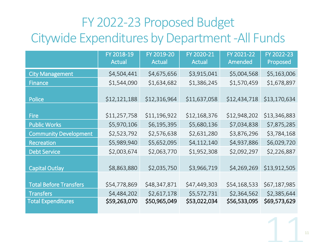## FY 2022-23 Proposed Budget Citywide Expenditures by Department -All Funds

|                               | FY 2018-19<br><b>Actual</b> | FY 2019-20<br><b>Actual</b> | FY 2020-21<br><b>Actual</b> | FY 2021-22<br>Amended | FY 2022-23<br>Proposed |
|-------------------------------|-----------------------------|-----------------------------|-----------------------------|-----------------------|------------------------|
| <b>City Management</b>        | \$4,504,441                 | \$4,675,656                 | \$3,915,041                 | \$5,004,568           | \$5,163,006            |
| <b>Finance</b>                | \$1,544,090                 | \$1,634,682                 | \$1,386,245                 | \$1,570,459           | \$1,678,897            |
| <b>Police</b>                 | \$12,121,188                | \$12,316,964                | \$11,637,058                | \$12,434,718          | \$13,170,634           |
| <b>Fire</b>                   | \$11,257,758                | \$11,196,922                | \$12,168,376                | \$12,948,202          | \$13,346,883           |
| <b>Public Works</b>           | \$5,970,106                 | \$6,195,395                 | \$5,680,136                 | \$7,034,838           | \$7,875,285            |
| <b>Community Development</b>  | \$2,523,792                 | \$2,576,638                 | \$2,631,280                 | \$3,876,296           | \$3,784,168            |
| Recreation                    | \$5,989,940                 | \$5,652,095                 | \$4,112,140                 | \$4,937,886           | \$6,029,720            |
| <b>Debt Service</b>           | \$2,003,674                 | \$2,063,770                 | \$1,952,308                 | \$2,092,297           | \$2,226,887            |
| <b>Capital Outlay</b>         | \$8,863,880                 | \$2,035,750                 | \$3,966,719                 | \$4,269,269           | \$13,912,505           |
| <b>Total Before Transfers</b> | \$54,778,869                | \$48,347,871                | \$47,449,303                | \$54,168,533          | \$67,187,985           |
| <b>Transfers</b>              | \$4,484,202                 | \$2,617,178                 | \$5,572,731                 | \$2,364,562           | \$2,385,644            |
| <b>Total Expenditures</b>     | \$59,263,070                | \$50,965,049                | \$53,022,034                | \$56,533,095          | \$69,573,629           |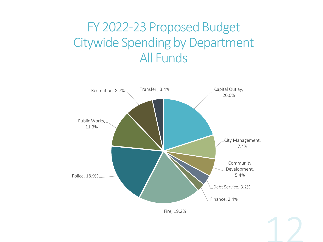### FY 2022-23 Proposed Budget Citywide Spending by Department All Funds

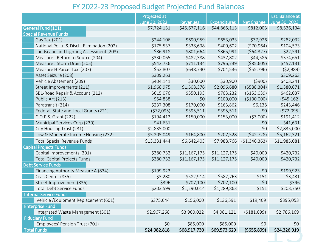#### FY 2022-23 Proposed Budget Projected Fund Balances

|                                            | Projected at  |                 |              |                | Est. Balance at |
|--------------------------------------------|---------------|-----------------|--------------|----------------|-----------------|
|                                            | June 30, 2022 | <b>Revenues</b> | Expenditures | Net Change     | June 30, 2023   |
| General Fund (101)                         | \$7,724,131   | \$45,677,116    | \$44,865,113 | \$812,003      | \$8,536,134     |
| <b>Special Revenue Funds</b>               |               |                 |              |                |                 |
| Gas Tax (201)                              | \$244,106     | \$690,959       | \$653,033    | \$37,926       | \$282,032       |
| National Pollu. & Disch. Elimination (202) | \$175,537     | \$338,638       | \$409,602    | (570, 964)     | \$104,573       |
| Landscape and Lighting Assessment (203)    | \$86,918      | \$801,664       | \$865,991    | (564, 327)     | \$22,591        |
| Measure J Return to Source (204)           | \$330,065     | \$482,388       | \$437,802    | \$44,586       | \$374,651       |
| Measure J Storm Drain (205)                | \$542,736     | \$711,134       | \$796,739    | ( \$85,605)    | \$457,131       |
| Measure H Parcel Tax (207)                 | \$52,807      | \$648,740       | \$704,536    | ( \$55,796)    | (52,989)        |
| Asset Seizure (208)                        | \$309,263     |                 |              |                | \$309,263       |
| Vehicle Abatement (209)                    | \$404,141     | \$30,000        | \$30,900     | (5900)         | \$403,241       |
| Street Improvements (211)                  | \$1,968,975   | \$1,508,376     | \$2,096,680  | (5588, 304)    | \$1,380,671     |
| SB1-Road Repair & Account (212)            | \$615,076     | \$550,193       | \$703,232    | ( \$153,039)   | \$462,037       |
| Public Art (213)                           | \$54,838      | \$0             | \$100,000    | (\$100,000)    | (545, 162)      |
| Paratransit (214)                          | \$237,308     | \$170,000       | \$163,862    | \$6,138        | \$243,446       |
| Federal, State and Local Grants (221)      | (572,095)     | \$395,511       | \$395,511    | \$0            | (572,095)       |
| C.O.P.S. Grant (222)                       | \$194,412     | \$150,000       | \$153,000    | (53,000)       | \$191,412       |
| Municipal Services Corp (230)              | \$41,631      |                 |              | \$0            | \$41,631        |
| City Housing Trust (231)                   | \$2,835,000   |                 |              | \$0            | \$2,835,000     |
| Low & Moderate Income Housing (232)        | \$5,205,049   | \$164,800       | \$207,528    | (542, 728)     | \$5,162,321     |
| <b>Total Special Revenue Funds</b>         | \$13,331,444  | \$6,642,403     | \$7,988,766  | ( \$1,346,363) | \$11,985,081    |
| <b>Capital Projects Funds</b>              |               |                 |              |                |                 |
| Capital Improvements (301)                 | \$380,732     | \$11,167,175    | \$11,127,175 | \$40,000       | \$420,732       |
| <b>Total Capital Projects Funds</b>        | \$380,732     | \$11,167,175    | \$11,127,175 | \$40,000       | \$420,732       |
| <b>Debt Service Funds</b>                  |               |                 |              |                |                 |
| Financing Authority Measure A (834)        | \$199,923     |                 |              | \$0            | \$199,923       |
| Civic Center (835)                         | \$3,280       | \$582,914       | \$582,763    | \$151          | \$3,431         |
| Street Improvement (836)                   | \$396         | \$707,100       | \$707,100    | \$0            | \$396           |
| Total Debt Service Funds                   | \$203,599     | \$1,290,014     | \$1,289,863  | \$151          | \$203,750       |
| <b>Internal Service Funds</b>              |               |                 |              |                |                 |
| Vehicle / Equipment Replacement (601)      | \$375,644     | \$156,000       | \$136,591    | \$19,409       | \$395,053       |
| <b>Enterprise Fund</b>                     |               |                 |              |                |                 |
| Integrated Waste Management (501)          | \$2,967,268   | \$3,900,022     | \$4,081,121  | ( \$181,099)   | \$2,786,169     |
| <b>Fiduciary Fund</b>                      |               |                 |              |                |                 |
| Employees' Pension Trust (701)             | \$0           | \$85,000        | \$85,000     | \$0            | \$0             |
| <b>Total Funds</b>                         | \$24,982,818  | \$68,917,730    | \$69,573,629 | (\$655,899)    | \$24,326,919    |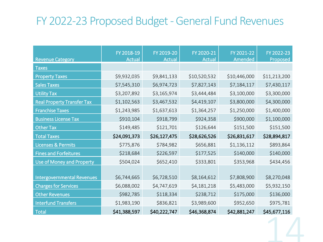### FY 2022-23 Proposed Budget -General Fund Revenues

| <b>Revenue Category</b>           | FY 2018-19<br><b>Actual</b> | FY 2019-20<br><b>Actual</b> | FY 2020-21<br><b>Actual</b> | FY 2021-22<br>Amended | FY 2022-23<br>Proposed |
|-----------------------------------|-----------------------------|-----------------------------|-----------------------------|-----------------------|------------------------|
| <b>Taxes</b>                      |                             |                             |                             |                       |                        |
| <b>Property Taxes</b>             | \$9,932,035                 | \$9,841,133                 | \$10,520,532                | \$10,446,000          | \$11,213,200           |
| <b>Sales Taxes</b>                | \$7,545,310                 | \$6,974,723                 | \$7,827,143                 | \$7,184,117           | \$7,430,117            |
| <b>Utility Tax</b>                | \$3,207,892                 | \$3,165,974                 | \$3,444,484                 | \$3,100,000           | \$3,300,000            |
| <b>Real Property Transfer Tax</b> | \$1,102,563                 | \$3,467,532                 | \$4,419,107                 | \$3,800,000           | \$4,300,000            |
| <b>Franchise Taxes</b>            | \$1,243,985                 | \$1,637,613                 | \$1,364,257                 | \$1,250,000           | \$1,400,000            |
| <b>Business License Tax</b>       | \$910,104                   | \$918,799                   | \$924,358                   | \$900,000             | \$1,100,000            |
| <b>Other Tax</b>                  | \$149,485                   | \$121,701                   | \$126,644                   | \$151,500             | \$151,500              |
| <b>Total Taxes</b>                | \$24,091,373                | \$26,127,475                | \$28,626,526                | \$26,831,617          | \$28,894,817           |
| <b>Licenses &amp; Permits</b>     | \$775,876                   | \$784,982                   | \$656,881                   | \$1,136,112           | \$893,864              |
| <b>Fines and Forfeitures</b>      | \$218,684                   | \$226,597                   | \$177,525                   | \$140,000             | \$140,000              |
| Use of Money and Property         | \$504,024                   | \$652,410                   | \$333,801                   | \$353,968             | \$434,456              |
|                                   |                             |                             |                             |                       |                        |
| <b>Intergovernmental Revenues</b> | \$6,744,665                 | \$6,728,510                 | \$8,164,612                 | \$7,808,900           | \$8,270,048            |
| <b>Charges for Services</b>       | \$6,088,002                 | \$4,747,619                 | \$4,181,218                 | \$5,483,000           | \$5,932,150            |
| <b>Other Revenues</b>             | \$982,785                   | \$118,334                   | \$238,712                   | \$175,000             | \$136,000              |
| <b>Interfund Transfers</b>        | \$1,983,190                 | \$836,821                   | \$3,989,600                 | \$952,650             | \$975,781              |
| <b>Total</b>                      | \$41,388,597                | \$40,222,747                | \$46,368,874                | \$42,881,247          | \$45,677,116           |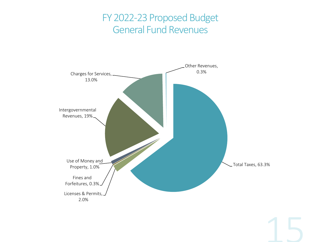### FY 2022-23 Proposed Budget General Fund Revenues

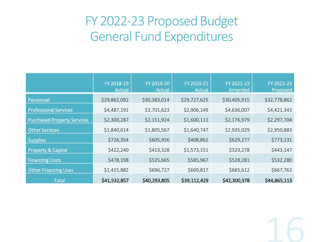### FY 2022-23 Proposed Budget General Fund Expenditures

|                                    | FY 2018-19<br><b>Actual</b> | FY 2019-20<br><b>Actual</b> | FY 2020-21<br><b>Actual</b> | FY 2021-22<br>Amended | FY 2022-23<br>Proposed |
|------------------------------------|-----------------------------|-----------------------------|-----------------------------|-----------------------|------------------------|
| Personnel                          | \$29,862,092                | \$30,383,014                | \$29,727,625                | \$30,405,915          | \$32,778,862           |
| <b>Professional Services</b>       | \$4,487,191                 | \$3,701,623                 | \$2,906,149                 | \$4,636,007           | \$4,421,343            |
| <b>Purchased Property Services</b> | \$2,300,287                 | \$2,151,924                 | \$1,600,111                 | \$2,176,979           | \$2,297,704            |
| <b>Other Services</b>              | \$1,840,614                 | \$1,805,567                 | \$1,640,747                 | \$2,935,029           | \$2,950,883            |
| <b>Supplies</b>                    | \$726,354                   | \$605,956                   | \$408,862                   | \$629,277             | \$773,131              |
| <b>Property &amp; Capital</b>      | \$422,240                   | \$413,328                   | \$1,573,151                 | \$323,278             | \$443,147              |
| <b>Financing Costs</b>             | \$478,198                   | \$535,665                   | \$585,967                   | \$528,281             | \$532,280              |
| <b>Other Financing Uses</b>        | \$1,415,882                 | \$696,727                   | \$669,817                   | \$665,612             | \$667,763              |
| <b>Total</b>                       | \$41,532,857                | \$40,293,805                | \$39,112,429                | \$42,300,378          | \$44,865,113           |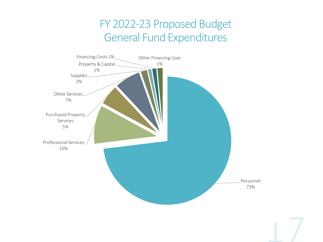### FY 2022-23 Proposed Budget General Fund Expenditures

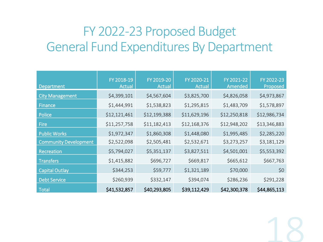### FY 2022-23 Proposed Budget General Fund Expenditures By Department

| Department                   | FY 2018-19<br><b>Actual</b> | FY 2019-20<br><b>Actual</b> | FY 2020-21<br><b>Actual</b> | FY 2021-22<br>Amended | FY 2022-23<br>Proposed |
|------------------------------|-----------------------------|-----------------------------|-----------------------------|-----------------------|------------------------|
| <b>City Management</b>       | \$4,399,101                 | \$4,567,604                 | \$3,825,700                 | \$4,826,058           | \$4,973,867            |
| Finance                      | \$1,444,991                 | \$1,538,823                 | \$1,295,815                 | \$1,483,709           | \$1,578,897            |
| Police                       | \$12,121,461                | \$12,199,388                | \$11,629,196                | \$12,250,818          | \$12,986,734           |
| Fire                         | \$11,257,758                | \$11,182,413                | \$12,168,376                | \$12,948,202          | \$13,346,883           |
| <b>Public Works</b>          | \$1,972,347                 | \$1,860,308                 | \$1,448,080                 | \$1,995,485           | \$2,285,220            |
| <b>Community Development</b> | \$2,522,098                 | \$2,505,481                 | \$2,532,671                 | \$3,273,257           | \$3,181,129            |
| Recreation                   | \$5,794,027                 | \$5,351,137                 | \$3,827,511                 | \$4,501,001           | \$5,553,392            |
| <b>Transfers</b>             | \$1,415,882                 | \$696,727                   | \$669,817                   | \$665,612             | \$667,763              |
| <b>Capital Outlay</b>        | \$344,253                   | \$59,777                    | \$1,321,189                 | \$70,000              | \$0                    |
| <b>Debt Service</b>          | \$260,939                   | \$332,147                   | \$394,074                   | \$286,236             | \$291,228              |
| <b>Total</b>                 | \$41,532,857                | \$40,293,805                | \$39,112,429                | \$42,300,378          | \$44,865,113           |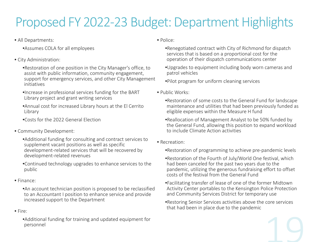## Proposed FY 2022-23 Budget: Department Highlights

- All Departments:
	- •Assumes COLA for all employees
- City Administration:
	- •Restoration of one position in the City Manager's office, to assist with public information, community engagement, support for emergency services, and other City Management initiatives
	- •Increase in professional services funding for the BART Library project and grant writing services
	- •Annual cost for increased Library hours at the El Cerrito Library
	- •Costs for the 2022 General Election
- Community Development:
	- •Additional funding for consulting and contract services to supplement vacant positions as well as specific development-related services that will be recovered by development-related revenues
	- •Continued technology upgrades to enhance services to the public
- Finance:
	- •An account technician position is proposed to be reclassified to an Accountant I position to enhance service and provide increased support to the Department
- Fire:
	- •Additional funding for training and updated equipment for personnel
- Police:
	- •Renegotiated contract with City of Richmond for dispatch services that is based on a proportional cost for the operation of their dispatch communications center
	- •Upgrades to equipment including body worn cameras and patrol vehicles
	- •Pilot program for uniform cleaning services
- Public Works:
	- •Restoration of some costs to the General Fund for landscape maintenance and utilities that had been previously funded as eligible expenses within the Measure H fund
	- •Reallocation of Management Analyst to be 50% funded by the General Fund, allowing this position to expand workload to include Climate Action activities
- Recreation:
	- •Restoration of programming to achieve pre-pandemic levels
	- •Restoration of the Fourth of July/World One festival, which had been canceled for the past two years due to the pandemic, utilizing the generous fundraising effort to offset costs of the festival from the General Fund
	- •Facilitating transfer of lease of one of the former Midtown Activity Center portables to the Kensington Police Protection and Community Services District for temporary use
	- •Restoring Senior Services activities above the core services that had been in place due to the pandemic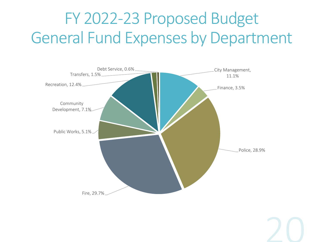## FY 2022-23 Proposed Budget General Fund Expenses by Department

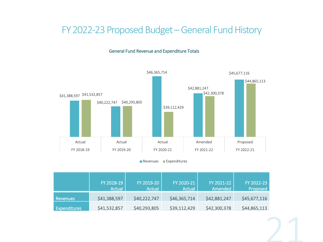#### FY 2022-23 Proposed Budget –General Fund History





**Revenues Expenditures** 

|                     | FY 2018-19<br>Actual | FY 2019-20<br>Actual | FY 2020-21<br>Actual | FY 2021-22<br>Amended | FY 2022-23<br>Proposed |
|---------------------|----------------------|----------------------|----------------------|-----------------------|------------------------|
| Revenues            | \$41,388,597         | \$40,222,747         | \$46,365,714         | \$42,881,247          | \$45,677,116           |
| <b>Expenditures</b> | \$41,532,857         | \$40,293,805         | \$39,112,429         | \$42,300,378          | \$44,865,113           |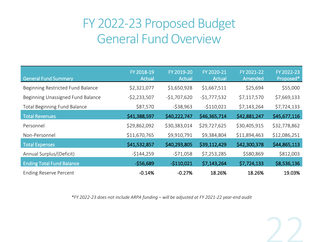### FY 2022-23 Proposed Budget General Fund Overview

| <b>General Fund Summary</b>         | FY 2018-19<br><b>Actual</b> | FY 2019-20<br><b>Actual</b> | FY 2020-21<br><b>Actual</b> | FY 2021-22<br>Amended | FY 2022-23<br>Proposed* |
|-------------------------------------|-----------------------------|-----------------------------|-----------------------------|-----------------------|-------------------------|
| Beginning Restricted Fund Balance   | \$2,321,077                 | \$1,650,928                 | \$1,667,511                 | \$25,694              | \$55,000                |
| Beginning Unassigned Fund Balance   | $-52,233,507$               | $-$1,707,620$               | $-$1,777,532$               | \$7,117,570           | \$7,669,133             |
| <b>Total Beginning Fund Balance</b> | \$87,570                    | $-538,963$                  | $-5110,021$                 | \$7,143,264           | \$7,724,133             |
| <b>Total Revenues</b>               | \$41,388,597                | \$40,222,747                | \$46,365,714                | \$42,881,247          | \$45,677,116            |
| Personnel                           | \$29,862,092                | \$30,383,014                | \$29,727,625                | \$30,405,915          | \$32,778,862            |
| Non-Personnel                       | \$11,670,765                | \$9,910,791                 | \$9,384,804                 | \$11,894,463          | \$12,086,251            |
| <b>Total Expenses</b>               | \$41,532,857                | \$40,293,805                | \$39,112,429                | \$42,300,378          | \$44,865,113            |
| Annual Surplus/(Deficit)            | $-5144,259$                 | $-571,058$                  | \$7,253,285                 | \$580,869             | \$812,003               |
| <b>Ending Total Fund Balance</b>    | $-556,689$                  | $-5110,021$                 | \$7,143,264                 | \$7,724,133           | \$8,536,136             |
| <b>Ending Reserve Percent</b>       | $-0.14%$                    | $-0.27%$                    | 18.26%                      | 18.26%                | 19.03%                  |

*\*FY 2022-23 does not include ARPA funding – will be adjusted at FY 2021-22 year-end audit*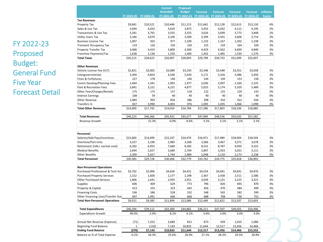FY 2022-23 Proposed Budget: General Fund Five Year Forecast Detail

|                                       |            |            | <b>Current</b> | <b>Proposed</b> |                 |                 |                 |                 |                  |
|---------------------------------------|------------|------------|----------------|-----------------|-----------------|-----------------|-----------------|-----------------|------------------|
|                                       |            |            | <b>Amended</b> | <b>Budget</b>   | <b>Forecast</b> | <b>Forecast</b> | <b>Forecast</b> | <b>Forecast</b> | <b>Inflation</b> |
|                                       | FY 2019-20 | FY 2020-21 | FY 2021-22     | FY 2022-23      | FY 2023-24      | FY 2024-25      | FY 2025-26      | FY 2026-27      | <b>Factor</b>    |
| <b>Tax Revenues</b>                   |            |            |                |                 |                 |                 |                 |                 |                  |
| Property Tax                          | \$9,841    | \$10,521   | \$10,446       | \$11,213        | \$11,662        | \$12,128        | \$12,613        | \$13,118        | 4%               |
| Sales & Use Tax                       | 3,694      | 4,033      | 3,629          | 3,875           | 3,953           | 4,032           | 4,112           | 4,195           | 2%               |
| Transactions & Use Tax                | 3,281      | 3,791      | 3,555          | 3,555           | 3,626           | 3,699           | 3,773           | 3,848           | 2%               |
| <b>Utility Users Tax</b>              | 3,166      | 3,670      | 3,100          | 3,300           | 3,399           | 3,501           | 3,606           | 3,714           | 3%               |
| <b>Business License Tax</b>           | 1,007      | 925        | 977            | 1,100           | 1,133           | 1,167           | 1,202           | 1,238           | 3%               |
| <b>Transient Occupancy Tax</b>        | 119        | 126        | 150            | 150             | 155             | 159             | 164             | 169             | 3%               |
| Property Transfer Tax                 | 3,468      | 4,419      | 3,800          | 4,300           | 4,429           | 4,562           | 4,699           | 4,840           | 3%               |
| Franchise Payments/Tax                | 1,638      | 1,138      | 1,250          | 1,400           | 1,442           | 1,485           | 1,530           | 1,576           | 3%               |
| <b>Total Taxes</b>                    | \$26,213   | \$28,623   | \$26,907       | \$28,893        | \$29,798        | \$30,733        | \$31,699        | \$32,697        |                  |
| <b>Other Revenues</b>                 |            |            |                |                 |                 |                 |                 |                 |                  |
| Vehicle License Fee (VLT)             | \$2,821    | \$3,002    | \$3,089        | \$3,250         | \$3,348         | \$3,448         | \$3,551         | \$3,658         | 3%               |
| Intergovernmental                     | 3,394      | 4,854      | 4,546          | 5,020           | 5,171           | 5,326           | 5,486           | 5,650           | 3%               |
| Fines & Forfeitures                   | 227        | 178        | 140            | 140             | 144             | 149             | 153             | 158             | 3%               |
| Comm Develop/Planning Fees            | 1,464      | 1,341      | 1,993          | 1,977           | 2,036           | 2,097           | 2,160           | 2,225           | 3%               |
| Park & Recreation Fees                | 3,841      | 3,151      | 4,231          | 4,877           | 5,023           | 5,174           | 5,329           | 5,489           | 3%               |
| Other Fees/Charges/Rentals            | 175        | 175        | 157            | 118             | 122             | 125             | 129             | 133             | 3%               |
| <b>Interest Earnings</b>              | 168        | 59         | 40             | 40              | 40              | 40              | 40              | 40              | 0%               |
| Other Revenue                         | 1,084      | 993        | 826            | 386             | 398             | 410             | 422             | 434             | 3%               |
| Transfers In                          | 837        | 3,990      | 4,003          | 976             | 1,005           | 1,035           | 1,066           | 1,098           | 3%               |
| <b>Total Other Revenues</b>           | \$14,009   | \$17,742   | \$19,024       | \$16,784        | \$17,286        | \$17,803        | \$18,336        | \$18,885        |                  |
| <b>Total Revenues</b>                 | \$40,223   | \$46,366   | \$45,931       | \$45,677        | \$47,084        | \$48,536        | \$50,035        | \$51,582        |                  |
| Revenue Growth                        |            | 15.3%      | $-0.9%$        | $-0.6%$         | 3.1%            | 3.1%            | 3.1%            | 3.1%            |                  |
|                                       |            |            |                |                 |                 |                 |                 |                 |                  |
| Personnel                             |            |            |                |                 |                 |                 |                 |                 |                  |
| Salaries/Add-Pays/Incentives          | \$15,660   | \$14,499   | \$15,337       | \$16,476        | \$16,971        | \$17,480        | \$18,004        | \$18,544        | 3%               |
| Overtime/Part-time                    | 3,327      | 3,190      | 2,985          | 3,268           | 3,366           | 3,467           | 3,571           | 3,678           | 3%               |
| Retirement (UAL+ normal cont)         | 6,392      | 6,955      | 7,660          | 8,282           | 8,531           | 8,787           | 9,050           | 9,322           | 3%               |
| <b>Medical Benefits</b>               | 2,694      | 2,657      | 2,680          | 2,764           | 2,847           | 2,933           | 3,021           | 3,111           | 3%               |
| <b>Other Benefits</b>                 | 2,309      | 2,427      | 1,744          | 1,989           | 2,048           | 2,110           | 2,173           | 2,238           | 3%               |
| <b>Total Personnel</b>                | \$30,383   | \$29,728   | \$30,406       | \$32,779        | \$33,762        | \$34,775        | \$35,818        | \$36,893        |                  |
|                                       |            |            |                |                 |                 |                 |                 |                 |                  |
| <b>Non-Personnel Operations</b>       |            |            |                |                 |                 |                 |                 |                 |                  |
| Purchased Professional & Tech Svs     | \$3,702    | \$2,906    | \$4,636        | \$4,421         | \$4,554         | \$4,691         | \$4,831         | \$4,976         | 3%               |
| <b>Purchased Property Services</b>    | 2,152      | 1,600      | 2,177          | 2,298           | 2,367           | 2,438           | 2,511           | 2,586           | 3%               |
| <b>Other Purchased Services</b>       | 1,806      | 1,641      | 2,935          | 2,951           | 3,039           | 3,131           | 3,225           | 3,321           | 3%               |
| <b>Supplies</b>                       | 606        | 409        | 629            | 773             | 796             | 820             | 845             | 870             | 3%               |
| Property & Capital                    | 413        | 252        | 323            | 443             | 456             | 470             | 484             | 499             | 3%               |
| <b>Financing Costs</b>                | 536        | 586        | 528            | 532             | 548             | 565             | 582             | 599             | 3%               |
| Other Financing Uses/Transfer Out     | 697        | 1,991      | 666            | 668             | 688             | 708             | 730             | 752             | 3%               |
| <b>Total Non-Personnel Operations</b> | \$9,911    | \$9,385    | \$11,894       | \$12,086        | \$12,449        | \$12,822        | \$13,207        | \$13,603        |                  |
| <b>Total Expenditures</b>             | \$40,294   | \$39,112   | \$42,300       | \$44,865        | \$46,211        | \$47,597        | \$49,025        | \$50,496        |                  |
| <b>Expenditure Growth</b>             | -99.9%     | $-2.9%$    | 8.2%           | 6.1%            | 3.0%            | 3.0%            | 3.0%            | 3.0%            |                  |
|                                       |            |            |                |                 |                 |                 |                 |                 |                  |
| Annual Net Revenue (Expense)          | (71)       | 7,253      | 3,689          | 812             | 873             | 939             | 1,010           | 1,086           |                  |
| <b>Beginning Fund Balance</b>         | 1          | (110)      | 7,143          | 10,832          | 11,644          | 12,517          | 13,456          | 14,466          |                  |
| <b>Ending Fund Balance</b>            | (\$70)     | \$7,143    | \$10,833       | \$11,644        | \$12,517        | \$13,456        | \$14,466        | \$15,552        |                  |
| Balance as % of Total Expense         | $-0.2%$    | 18.3%      | 25.6%          | 26.0%           | 27.1%           | 28.3%           | 29.5%           | 30.8%           |                  |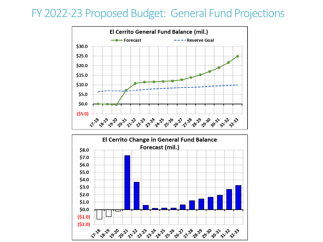### FY 2022-23 Proposed Budget: General Fund Projections



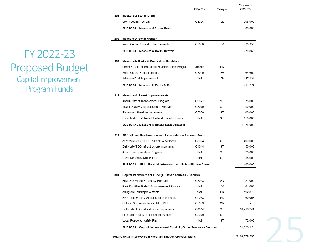FY 2022-23 Proposed Budget Capital Improvement Program Funds

|     |                                                                 | Project# | Category  | Proposed<br>2022-23 |
|-----|-----------------------------------------------------------------|----------|-----------|---------------------|
| 205 | Measure J Storm Drain                                           |          |           |                     |
|     | Storm Drain Program                                             | C5036    | SD        | 308,000             |
|     | SUBTOTAL Measure J Storm Drain                                  |          |           | 308,000             |
|     |                                                                 |          |           |                     |
| 206 | Measure A Swim Center                                           |          |           |                     |
|     | Swim Center Capital Enhancements                                | C3050    | FA        | 270,350             |
|     | SUBTOTAL Measure A Swim Center                                  |          |           | 270,350             |
| 207 | <b>Measure H Parks &amp; Recreation Facilities</b>              |          |           |                     |
|     | Parks & Recreation Facilities Master Plan Program               | various  | PK        |                     |
|     | Swim Center Enhancements                                        | C3050    | FA        | 64,650              |
|     | Arlington Park Improvements                                     | tbd      | PК        | 147,124             |
|     | SUBTOTAL Measure H Parks & Rec                                  |          |           | 211,774             |
| 211 | Measure A Street Improvements**                                 |          |           |                     |
|     | Annual Street Improvement Program                               | C3027    | ST        | 675,000             |
|     | Traffic Safety & Management Program                             | C3070    | ST        | 50,000              |
|     | Richmond Street Improvements                                    | C3080    | <b>ST</b> | 400,000             |
|     | Local Match - Potential Federal Stimulus Funds                  | tbd      | ST        | 150,000             |
|     | SUB TO TAL Measure A Street Improvements                        |          |           | 1,275,000           |
| 212 | SB 1 - Road Maintenance and Rehabilitation Account Fund         |          |           |                     |
|     | Access Modifications - Streets & Sidewalks                      | C3024    | ST        | 400,000             |
|     | Del Norte TOD Infrastructure Imprymnts                          | C4014    | ST        | 50,000              |
|     | Active Transportation Program                                   | tbd      | ST        | 25,000              |
|     | Local Roadway Safety Plan                                       | tbd      | <b>ST</b> | 15,000              |
|     | SUBTOTAL SB 1 - Road Maintenance and Rehabilitation Account     |          |           | 490,000             |
| 301 | Capital Improvement Fund (A, Other Sources - Secure)            |          |           |                     |
|     | Energy & Water Efficiency Program                               | C3043    | AD        | 21,000              |
|     | Park Facilities Rehab & Improvement Program                     | tbd      | FA        | 61,000              |
|     | Arlington Park Improvements                                     | tbd      | PK        | 192,876             |
|     | HNA Trail Entry & Signage Improvements                          | C5038    | PК        | 60,058              |
|     | Ohlone Greenway Impr - Hill to Blake                            | C3069    | CR.       |                     |
|     | Del Norte TOD Infrastructure Imprymnts                          | C4014    | ST        | 10,716,241          |
|     | El Dorado-Gladys-B Street Imprvmnts                             | C3079    | ST        |                     |
|     | Local Roadway Safety Plan                                       | tbd      | <b>ST</b> | 72,000              |
|     | SUB TO TAL Capital Improvement Fund (A, Other Sources - Secure) |          |           | 11,123,175          |
|     | Total Capital Improvement Program Budget Appropriations         |          |           | \$13,678,299        |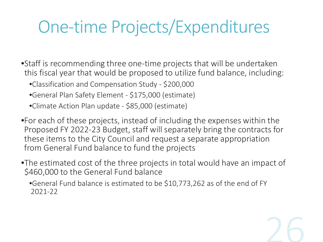# One-time Projects/Expenditures

•Staff is recommending three one-time projects that will be undertaken this fiscal year that would be proposed to utilize fund balance, including:

•Classification and Compensation Study - \$200,000

- •General Plan Safety Element \$175,000 (estimate)
- •Climate Action Plan update \$85,000 (estimate)

•For each of these projects, instead of including the expenses within the Proposed FY 2022-23 Budget, staff will separately bring the contracts for these items to the City Council and request a separate appropriation from General Fund balance to fund the projects

•The estimated cost of the three projects in total would have an impact of \$460,000 to the General Fund balance

•General Fund balance is estimated to be \$10,773,262 as of the end of FY 2021-22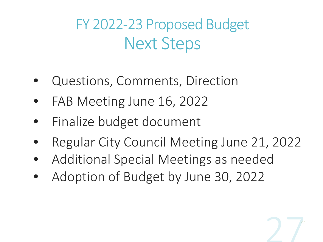FY 2022-23 Proposed Budget Next Steps

- Questions, Comments, Direction
- FAB Meeting June 16, 2022
- Finalize budget document
- Regular City Council Meeting June 21, 2022

27

- Additional Special Meetings as needed
- Adoption of Budget by June 30, 2022